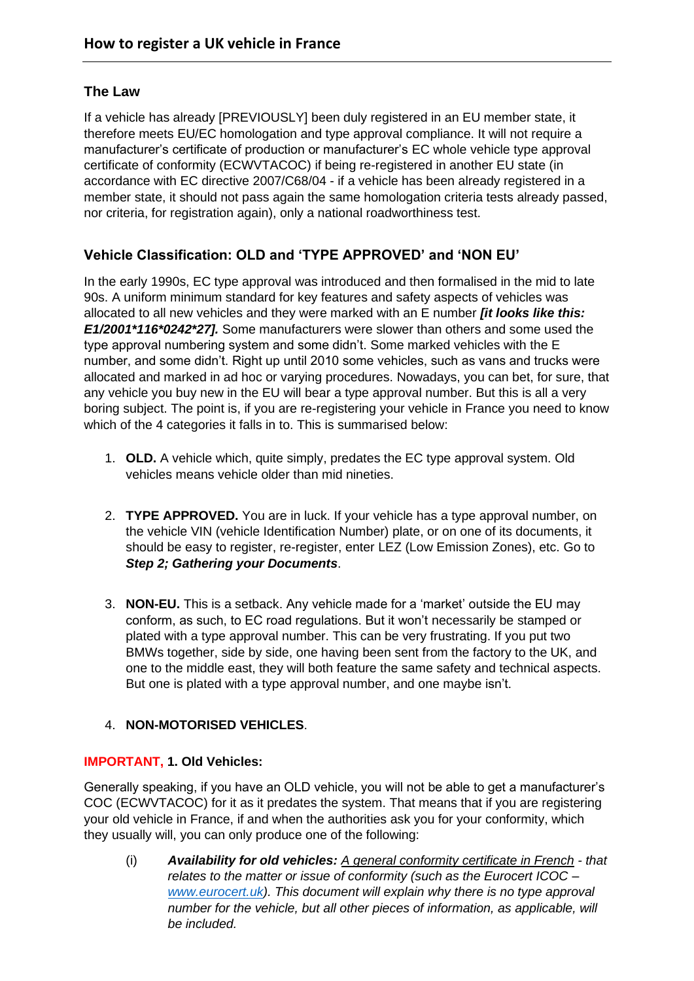# **The Law**

If a vehicle has already [PREVIOUSLY] been duly registered in an EU member state, it therefore meets EU/EC homologation and type approval compliance. It will not require a manufacturer's certificate of production or manufacturer's EC whole vehicle type approval certificate of conformity (ECWVTACOC) if being re-registered in another EU state (in accordance with EC directive 2007/C68/04 - if a vehicle has been already registered in a member state, it should not pass again the same homologation criteria tests already passed, nor criteria, for registration again), only a national roadworthiness test.

# **Vehicle Classification: OLD and 'TYPE APPROVED' and 'NON EU'**

In the early 1990s, EC type approval was introduced and then formalised in the mid to late 90s. A uniform minimum standard for key features and safety aspects of vehicles was allocated to all new vehicles and they were marked with an E number *[it looks like this: E1/2001\*116\*0242\*27].* Some manufacturers were slower than others and some used the type approval numbering system and some didn't. Some marked vehicles with the E number, and some didn't. Right up until 2010 some vehicles, such as vans and trucks were allocated and marked in ad hoc or varying procedures. Nowadays, you can bet, for sure, that any vehicle you buy new in the EU will bear a type approval number. But this is all a very boring subject. The point is, if you are re-registering your vehicle in France you need to know which of the 4 categories it falls in to. This is summarised below:

- 1. **OLD.** A vehicle which, quite simply, predates the EC type approval system. Old vehicles means vehicle older than mid nineties.
- 2. **TYPE APPROVED.** You are in luck. If your vehicle has a type approval number, on the vehicle VIN (vehicle Identification Number) plate, or on one of its documents, it should be easy to register, re-register, enter LEZ (Low Emission Zones), etc. Go to *Step 2; Gathering your Documents*.
- 3. **NON-EU.** This is a setback. Any vehicle made for a 'market' outside the EU may conform, as such, to EC road regulations. But it won't necessarily be stamped or plated with a type approval number. This can be very frustrating. If you put two BMWs together, side by side, one having been sent from the factory to the UK, and one to the middle east, they will both feature the same safety and technical aspects. But one is plated with a type approval number, and one maybe isn't.

### 4. **NON-MOTORISED VEHICLES**.

### **IMPORTANT, 1. Old Vehicles:**

Generally speaking, if you have an OLD vehicle, you will not be able to get a manufacturer's COC (ECWVTACOC) for it as it predates the system. That means that if you are registering your old vehicle in France, if and when the authorities ask you for your conformity, which they usually will, you can only produce one of the following:

(i) *Availability for old vehicles: A general conformity certificate in French - that relates to the matter or issue of conformity (such as the Eurocert ICOC – [www.eurocert.uk\)](http://www.eurocert.uk/). This document will explain why there is no type approval number for the vehicle, but all other pieces of information, as applicable, will be included.*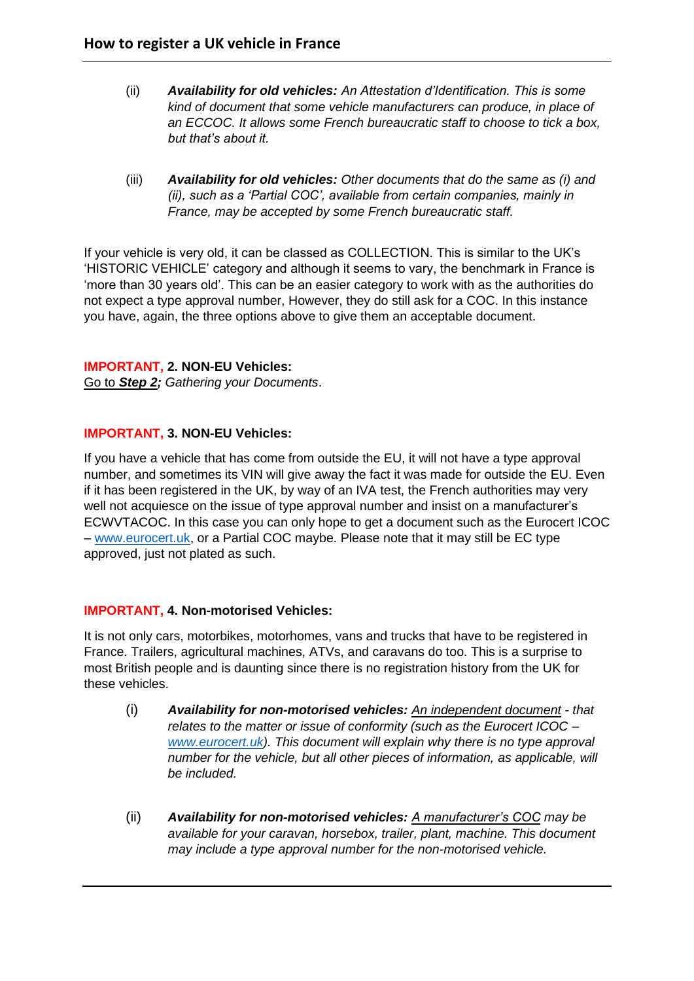- (ii) *Availability for old vehicles: An Attestation d'Identification. This is some kind of document that some vehicle manufacturers can produce, in place of an ECCOC. It allows some French bureaucratic staff to choose to tick a box, but that's about it.*
- (iii) *Availability for old vehicles: Other documents that do the same as (i) and (ii), such as a 'Partial COC', available from certain companies, mainly in France, may be accepted by some French bureaucratic staff.*

If your vehicle is very old, it can be classed as COLLECTION. This is similar to the UK's 'HISTORIC VEHICLE' category and although it seems to vary, the benchmark in France is 'more than 30 years old'. This can be an easier category to work with as the authorities do not expect a type approval number, However, they do still ask for a COC. In this instance you have, again, the three options above to give them an acceptable document.

#### **IMPORTANT, 2. NON-EU Vehicles:**

Go to *Step 2; Gathering your Documents*.

#### **IMPORTANT, 3. NON-EU Vehicles:**

If you have a vehicle that has come from outside the EU, it will not have a type approval number, and sometimes its VIN will give away the fact it was made for outside the EU. Even if it has been registered in the UK, by way of an IVA test, the French authorities may very well not acquiesce on the issue of type approval number and insist on a manufacturer's ECWVTACOC. In this case you can only hope to get a document such as the Eurocert ICOC – [www.eurocert.uk,](http://www.eurocert.uk/) or a Partial COC maybe. Please note that it may still be EC type approved, just not plated as such.

#### **IMPORTANT, 4. Non-motorised Vehicles:**

It is not only cars, motorbikes, motorhomes, vans and trucks that have to be registered in France. Trailers, agricultural machines, ATVs, and caravans do too. This is a surprise to most British people and is daunting since there is no registration history from the UK for these vehicles.

- (i) *Availability for non-motorised vehicles: An independent document - that relates to the matter or issue of conformity (such as the Eurocert ICOC – [www.eurocert.uk\)](http://www.eurocert.uk/). This document will explain why there is no type approval number for the vehicle, but all other pieces of information, as applicable, will be included.*
- (ii) *Availability for non-motorised vehicles: A manufacturer's COC may be available for your caravan, horsebox, trailer, plant, machine. This document may include a type approval number for the non-motorised vehicle.*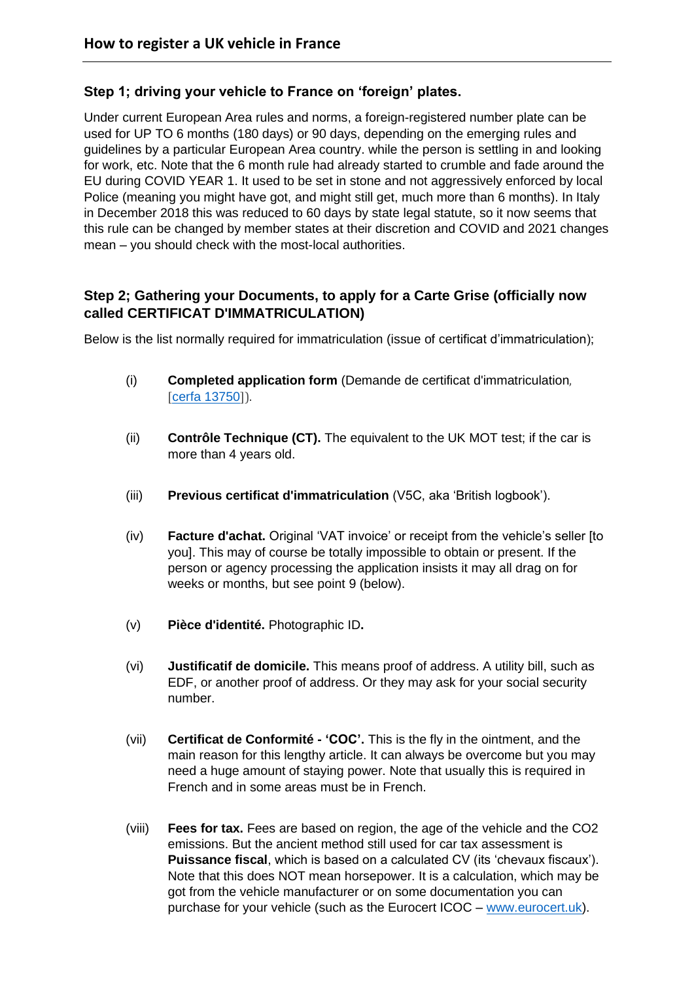### **Step 1; driving your vehicle to France on 'foreign' plates.**

Under current European Area rules and norms, a foreign-registered number plate can be used for UP TO 6 months (180 days) or 90 days, depending on the emerging rules and guidelines by a particular European Area country. while the person is settling in and looking for work, etc. Note that the 6 month rule had already started to crumble and fade around the EU during COVID YEAR 1. It used to be set in stone and not aggressively enforced by local Police (meaning you might have got, and might still get, much more than 6 months). In Italy in December 2018 this was reduced to 60 days by state legal statute, so it now seems that this rule can be changed by member states at their discretion and COVID and 2021 changes mean – you should check with the most-local authorities.

# **Step 2; Gathering your Documents, to apply for a Carte Grise (officially now called CERTIFICAT D'IMMATRICULATION)**

Below is the list normally required for immatriculation (issue of certificat d'immatriculation);

- (i) **Completed application form** (Demande de certificat d'immatriculation, [cerfa [13750](https://www.formulaires.modernisation.gouv.fr/gf/showFormulaireSignaletiqueConsulter.do?numCerfa=13750)]).
- (ii) **Contrôle Technique (CT).** The equivalent to the UK MOT test; if the car is more than 4 years old.
- (iii) **Previous certificat d'immatriculation** (V5C, aka 'British logbook').
- (iv) **Facture d'achat.** Original 'VAT invoice' or receipt from the vehicle's seller [to you]. This may of course be totally impossible to obtain or present. If the person or agency processing the application insists it may all drag on for weeks or months, but see point 9 (below).
- (v) **Pièce d'identité.** Photographic ID**.**
- (vi) **Justificatif de domicile.** This means proof of address. A utility bill, such as EDF, or another proof of address. Or they may ask for your social security number.
- (vii) **Certificat de Conformité - 'COC'.** This is the fly in the ointment, and the main reason for this lengthy article. It can always be overcome but you may need a huge amount of staying power. Note that usually this is required in French and in some areas must be in French.
- (viii) **Fees for tax.** Fees are based on region, the age of the vehicle and the CO2 emissions. But the ancient method still used for car tax assessment is **Puissance fiscal**, which is based on a calculated CV (its 'chevaux fiscaux'). Note that this does NOT mean horsepower. It is a calculation, which may be got from the vehicle manufacturer or on some documentation you can purchase for your vehicle (such as the Eurocert ICOC – [www.eurocert.uk\)](http://www.eurocert.uk/).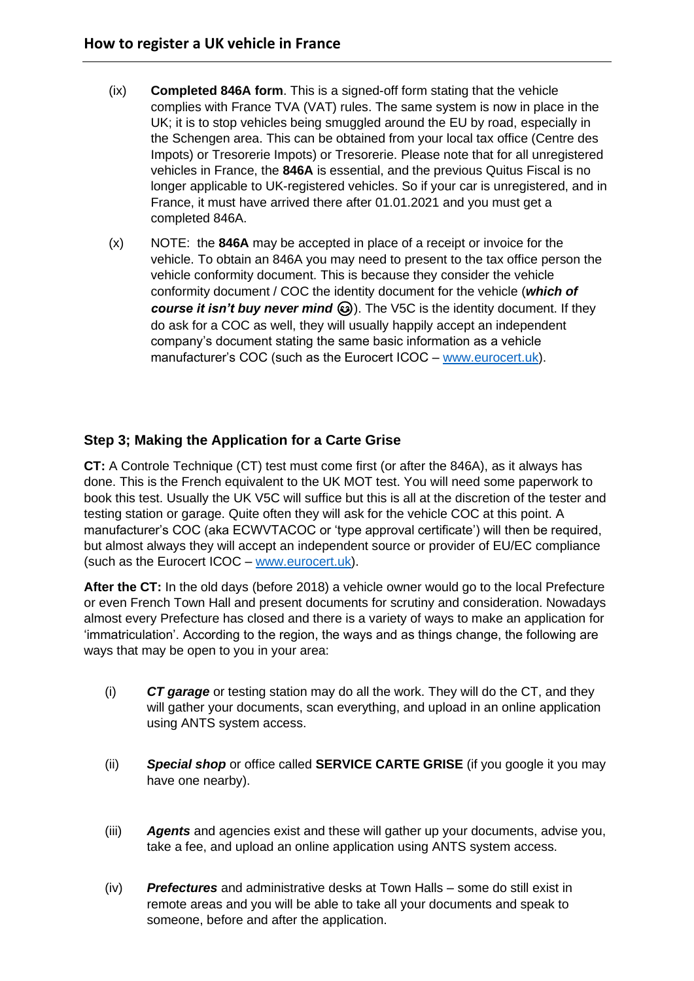- (ix) **Completed 846A form**. This is a signed-off form stating that the vehicle complies with France TVA (VAT) rules. The same system is now in place in the UK; it is to stop vehicles being smuggled around the EU by road, especially in the Schengen area. This can be obtained from your local tax office (Centre des Impots) or Tresorerie Impots) or Tresorerie. Please note that for all unregistered vehicles in France, the **846A** is essential, and the previous Quitus Fiscal is no longer applicable to UK-registered vehicles. So if your car is unregistered, and in France, it must have arrived there after 01.01.2021 and you must get a completed 846A.
- (x) NOTE: the **846A** may be accepted in place of a receipt or invoice for the vehicle. To obtain an 846A you may need to present to the tax office person the vehicle conformity document. This is because they consider the vehicle conformity document / COC the identity document for the vehicle (*which of course it isn't buy never mind* (b). The V5C is the identity document. If they do ask for a COC as well, they will usually happily accept an independent company's document stating the same basic information as a vehicle manufacturer's COC (such as the Eurocert ICOC – [www.eurocert.uk\)](http://www.eurocert.uk/).

### **Step 3; Making the Application for a Carte Grise**

**CT:** A Controle Technique (CT) test must come first (or after the 846A), as it always has done. This is the French equivalent to the UK MOT test. You will need some paperwork to book this test. Usually the UK V5C will suffice but this is all at the discretion of the tester and testing station or garage. Quite often they will ask for the vehicle COC at this point. A manufacturer's COC (aka ECWVTACOC or 'type approval certificate') will then be required, but almost always they will accept an independent source or provider of EU/EC compliance (such as the Eurocert ICOC – [www.eurocert.uk\)](http://www.eurocert.uk/).

**After the CT:** In the old days (before 2018) a vehicle owner would go to the local Prefecture or even French Town Hall and present documents for scrutiny and consideration. Nowadays almost every Prefecture has closed and there is a variety of ways to make an application for 'immatriculation'. According to the region, the ways and as things change, the following are ways that may be open to you in your area:

- (i) *CT garage* or testing station may do all the work. They will do the CT, and they will gather your documents, scan everything, and upload in an online application using ANTS system access.
- (ii) *Special shop* or office called **SERVICE CARTE GRISE** (if you google it you may have one nearby).
- (iii) *Agents* and agencies exist and these will gather up your documents, advise you, take a fee, and upload an online application using ANTS system access.
- (iv) *Prefectures* and administrative desks at Town Halls some do still exist in remote areas and you will be able to take all your documents and speak to someone, before and after the application.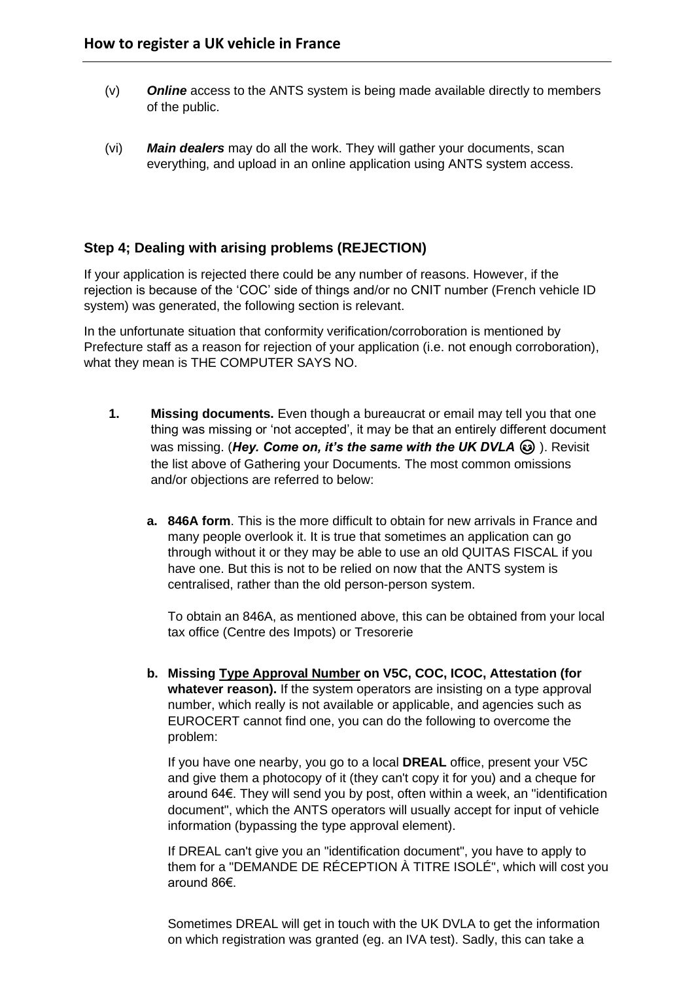- (v) *Online* access to the ANTS system is being made available directly to members of the public.
- (vi) *Main dealers* may do all the work. They will gather your documents, scan everything, and upload in an online application using ANTS system access.

### **Step 4; Dealing with arising problems (REJECTION)**

If your application is rejected there could be any number of reasons. However, if the rejection is because of the 'COC' side of things and/or no CNIT number (French vehicle ID system) was generated, the following section is relevant.

In the unfortunate situation that conformity verification/corroboration is mentioned by Prefecture staff as a reason for rejection of your application (i.e. not enough corroboration), what they mean is THE COMPUTER SAYS NO.

- **1. Missing documents.** Even though a bureaucrat or email may tell you that one thing was missing or 'not accepted', it may be that an entirely different document was missing. (Hey. Come on, it's the same with the UK DVLA  $\odot$ ). Revisit the list above of Gathering your Documents. The most common omissions and/or objections are referred to below:
	- **a. 846A form**. This is the more difficult to obtain for new arrivals in France and many people overlook it. It is true that sometimes an application can go through without it or they may be able to use an old QUITAS FISCAL if you have one. But this is not to be relied on now that the ANTS system is centralised, rather than the old person-person system.

To obtain an 846A, as mentioned above, this can be obtained from your local tax office (Centre des Impots) or Tresorerie

**b. Missing Type Approval Number on V5C, COC, ICOC, Attestation (for whatever reason).** If the system operators are insisting on a type approval number, which really is not available or applicable, and agencies such as EUROCERT cannot find one, you can do the following to overcome the problem:

If you have one nearby, you go to a local **DREAL** office, present your V5C and give them a photocopy of it (they can't copy it for you) and a cheque for around 64€. They will send you by post, often within a week, an "identification document", which the ANTS operators will usually accept for input of vehicle information (bypassing the type approval element).

If DREAL can't give you an "identification document", you have to apply to them for a "DEMANDE DE RÉCEPTION À TITRE ISOLÉ", which will cost you around 86€.

Sometimes DREAL will get in touch with the UK DVLA to get the information on which registration was granted (eg. an IVA test). Sadly, this can take a